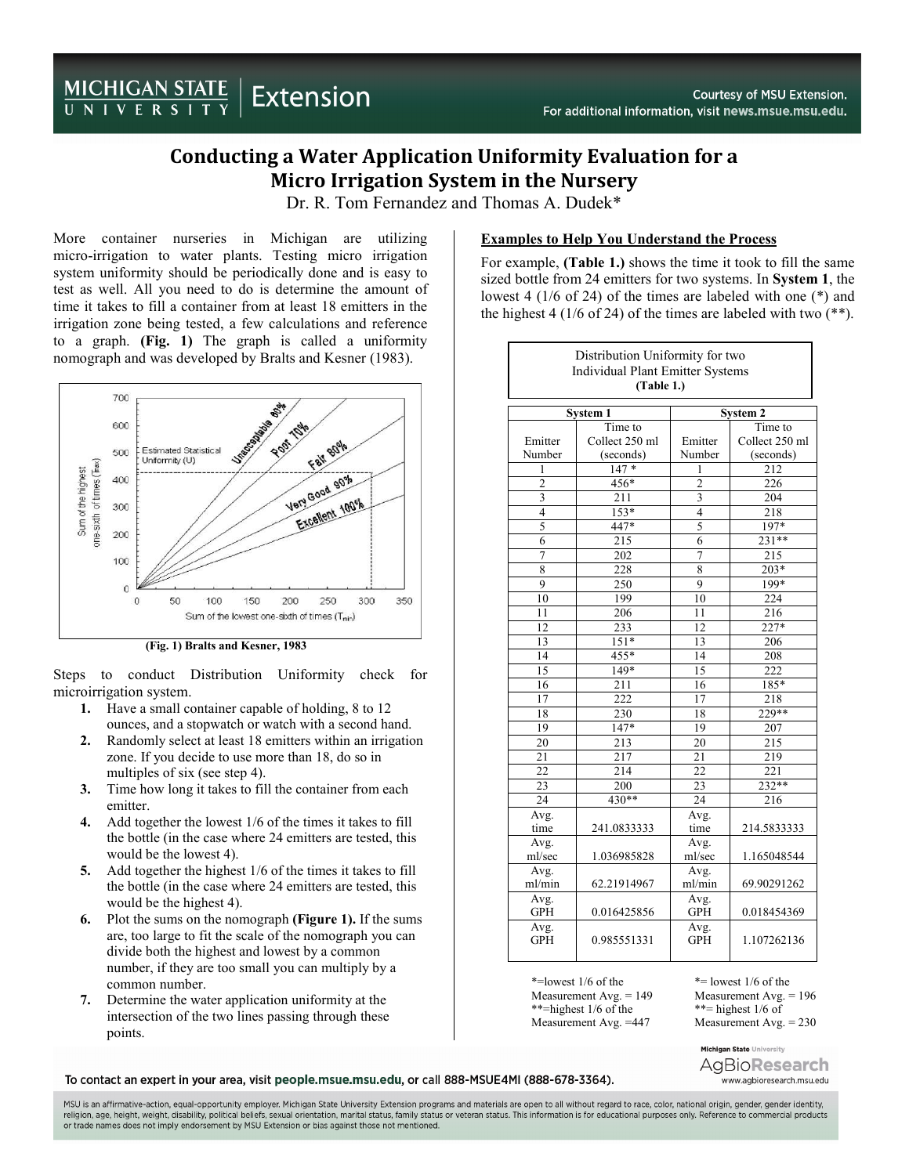## Conducting a Water Application Uniformity Evaluation for a Micro Irrigation System in the Nursery

Dr. R. Tom Fernandez and Thomas A. Dudek\*

More container nurseries in Michigan are utilizing micro-irrigation to water plants. Testing micro irrigation system uniformity should be periodically done and is easy to test as well. All you need to do is determine the amount of time it takes to fill a container from at least 18 emitters in the irrigation zone being tested, a few calculations and reference to a graph. (Fig. 1) The graph is called a uniformity nomograph and was developed by Bralts and Kesner (1983).



(Fig. 1) Bralts and Kesner, 1983

Steps to conduct Distribution Uniformity check for microirrigation system.

- 1. Have a small container capable of holding, 8 to 12 ounces, and a stopwatch or watch with a second hand.
- 2. Randomly select at least 18 emitters within an irrigation zone. If you decide to use more than 18, do so in multiples of six (see step 4).
- 3. Time how long it takes to fill the container from each emitter.
- Add together the lowest 1/6 of the times it takes to fill the bottle (in the case where 24 emitters are tested, this would be the lowest 4).
- 5. Add together the highest 1/6 of the times it takes to fill the bottle (in the case where 24 emitters are tested, this would be the highest 4).
- 6. Plot the sums on the nomograph (Figure 1). If the sums are, too large to fit the scale of the nomograph you can divide both the highest and lowest by a common number, if they are too small you can multiply by a common number.
- 7. Determine the water application uniformity at the intersection of the two lines passing through these points.

## Examples to Help You Understand the Process

For example, (Table 1.) shows the time it took to fill the same sized bottle from 24 emitters for two systems. In System 1, the lowest 4 (1/6 of 24) of the times are labeled with one (\*) and the highest 4 (1/6 of 24) of the times are labeled with two  $(**)$ .

| Distribution Uniformity for two<br><b>Individual Plant Emitter Systems</b><br>(Table 1.) |                |                    |                  |
|------------------------------------------------------------------------------------------|----------------|--------------------|------------------|
| <b>System 1</b>                                                                          |                | <b>System 2</b>    |                  |
|                                                                                          | Time to        |                    | Time to          |
| Emitter                                                                                  | Collect 250 ml | Emitter            | Collect 250 ml   |
| Number                                                                                   | (seconds)      | Number             | (seconds)        |
| 1                                                                                        | $147*$         | 1                  | $\overline{212}$ |
| $\overline{2}$                                                                           | $456*$         | $\overline{2}$     | 226              |
| 3                                                                                        | 211            | 3                  | 204              |
| $\overline{4}$                                                                           | $153*$         | $\overline{4}$     | 218              |
| 5                                                                                        | $447*$         | 5                  | $197*$           |
| 6                                                                                        | 215            | 6                  | $231**$          |
| 7                                                                                        | 202            | 7                  | 215              |
| $\overline{8}$                                                                           | 228            | $\overline{8}$     | $203*$           |
| 9                                                                                        | 250            | 9                  | 199*             |
| 10                                                                                       | 199            | 10                 | 224              |
| 11                                                                                       | 206            | 11                 | 216              |
| 12                                                                                       | 233            | 12                 | 227*             |
| $\overline{13}$                                                                          | $151*$         | 13                 | 206              |
| 14                                                                                       | $455*$         | 14                 | 208              |
| 15                                                                                       | 149*           | 15                 | $\overline{222}$ |
| 16                                                                                       | 211            | 16                 | 185*             |
| 17                                                                                       | 222            | 17                 | 218              |
| 18                                                                                       | 230            | 18                 | $229**$          |
| 19                                                                                       | $147*$         | 19                 | 207              |
| 20                                                                                       | 213            | 20                 | 215              |
| $\overline{21}$                                                                          | 217            | $\overline{21}$    | 219              |
| $\overline{22}$                                                                          | 214            | $\overline{22}$    | 221              |
| 23                                                                                       | 200            | 23                 | $232**$          |
| 24                                                                                       | $430**$        | $\overline{24}$    | 216              |
| Avg.                                                                                     |                | Avg.               |                  |
| time                                                                                     | 241.0833333    | time               | 214.5833333      |
| Avg.                                                                                     |                | Avg.               |                  |
| ml/sec                                                                                   | 1.036985828    | ml/sec             | 1.165048544      |
| Avg.                                                                                     |                | Avg.               |                  |
| ml/min                                                                                   | 62.21914967    | ml/min             | 69.90291262      |
| Avg.                                                                                     |                | Avg.               |                  |
| <b>GPH</b>                                                                               | 0.016425856    | <b>GPH</b>         | 0.018454369      |
| Avg.<br><b>GPH</b>                                                                       | 0.985551331    | Avg.<br><b>GPH</b> | 1.107262136      |

\*=lowest 1/6 of the  $*$ = lowest 1/6 of the Measurement Avg. = 149 Measurement Avg. \*\*=highest 1/6 of the \*\*= highest 1/6 of<br>Measurement Avg. =447 Measurement Avg

Measurement Avg.  $= 196$ Measurement Avg.  $= 230$ 

Michigan State University AgBio**Research** www.agbioresearch.msu.edu

To contact an expert in your area, visit people.msue.msu.edu, or call 888-MSUE4MI (888-678-3364).

MSU is an affirmative-action, equal-opportunity employer. Michigan State University Extension programs and materials are open to all without regard to race, color, national origin, gender, gender identity, religion, age, height, weight, disability, political beliefs, sexual orientation, marital status, family status or veteran status. This information is for educational purposes only. Reference to commercial products or trade names does not imply endorsement by MSU Extension or bias against those not mentioned.